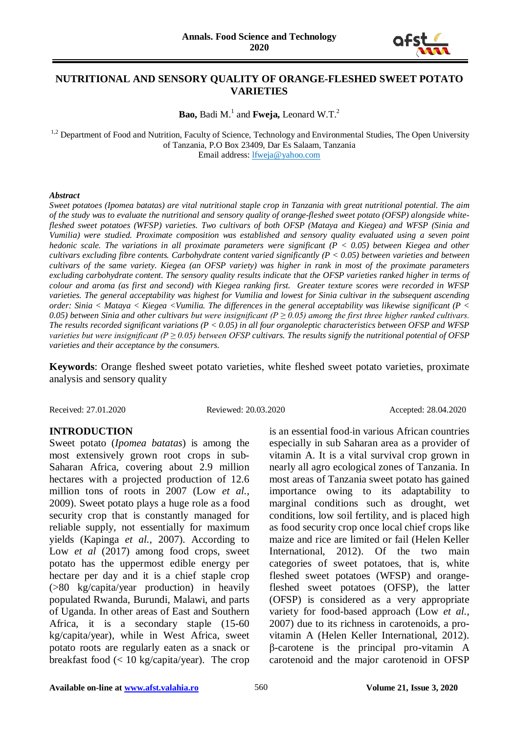

# **NUTRITIONAL AND SENSORY QUALITY OF ORANGE-FLESHED SWEET POTATO VARIETIES**

Bao, Badi M.<sup>1</sup> and **Fweja**, Leonard W.T.<sup>2</sup>

<sup>1,2</sup> Department of Food and Nutrition, Faculty of Science, Technology and Environmental Studies, The Open University of Tanzania, P.O Box 23409, Dar Es Salaam, Tanzania Email address: [lfweja@yahoo.com](mailto:lfweja@yahoo.com)

#### *Abstract*

*Sweet potatoes (Ipomea batatas) are vital nutritional staple crop in Tanzania with great nutritional potential. The aim of the study was to evaluate the nutritional and sensory quality of orange-fleshed sweet potato (OFSP) alongside whitefleshed sweet potatoes (WFSP) varieties. Two cultivars of both OFSP (Mataya and Kiegea) and WFSP (Sinia and Vumilia) were studied. Proximate composition was established and sensory quality evaluated using a seven point hedonic scale. The variations in all proximate parameters were significant (P < 0.05) between Kiegea and other cultivars excluding fibre contents. Carbohydrate content varied significantly (P < 0.05) between varieties and between cultivars of the same variety. Kiegea (an OFSP variety) was higher in rank in most of the proximate parameters excluding carbohydrate content. The sensory quality results indicate that the OFSP varieties ranked higher in terms of colour and aroma (as first and second) with Kiegea ranking first. Greater texture scores were recorded in WFSP varieties. The general acceptability was highest for Vumilia and lowest for Sinia cultivar in the subsequent ascending order: Sinia < Mataya < Kiegea <Vumilia. The differences in the general acceptability was likewise significant (P <*  0.05) between Sinia and other cultivars but were insignificant ( $P \ge 0.05$ ) among the first three higher ranked cultivars. *The results recorded significant variations (P < 0.05) in all four organoleptic characteristics between OFSP and WFSP varieties but were insignificant (P*  $\geq$  *0.05) between OFSP cultivars. The results signify the nutritional potential of OFSP varieties and their acceptance by the consumers.*

**Keywords**: Orange fleshed sweet potato varieties, white fleshed sweet potato varieties, proximate analysis and sensory quality

Received: 27.01.2020 Reviewed: 20.03.2020 Accepted: 28.04.2020

### **INTRODUCTION**

Sweet potato (*Ipomea batatas*) is among the most extensively grown root crops in sub-Saharan Africa, covering about 2.9 million hectares with a projected production of 12.6 million tons of roots in 2007 (Low *et al.,* 2009). Sweet potato plays a huge role as a food security crop that is constantly managed for reliable supply, not essentially for maximum yields (Kapinga *et al.,* 2007). According to Low *et al* (2017) among food crops, sweet potato has the uppermost edible energy per hectare per day and it is a chief staple crop (>80 kg/capita/year production) in heavily populated Rwanda, Burundi, Malawi, and parts of Uganda. In other areas of East and Southern Africa, it is a secondary staple (15-60 kg/capita/year), while in West Africa, sweet potato roots are regularly eaten as a snack or breakfast food  $\langle \langle 10 \text{ kg/capita/year} \rangle$ . The crop

especially in sub Saharan area as a provider of vitamin A. It is a vital survival crop grown in nearly all agro ecological zones of Tanzania. In most areas of Tanzania sweet potato has gained importance owing to its adaptability to marginal conditions such as drought, wet conditions, low soil fertility, and is placed high as food security crop once local chief crops like maize and rice are limited or fail (Helen Keller International, 2012). Of the two main categories of sweet potatoes, that is, white fleshed sweet potatoes (WFSP) and orangefleshed sweet potatoes (OFSP), the latter (OFSP) is considered as a very appropriate variety for food-based approach (Low *et al.,* 2007) due to its richness in carotenoids, a provitamin A (Helen Keller International, 2012). β-carotene is the principal pro-vitamin A carotenoid and the major carotenoid in OFSP

is an essential food-in various African countries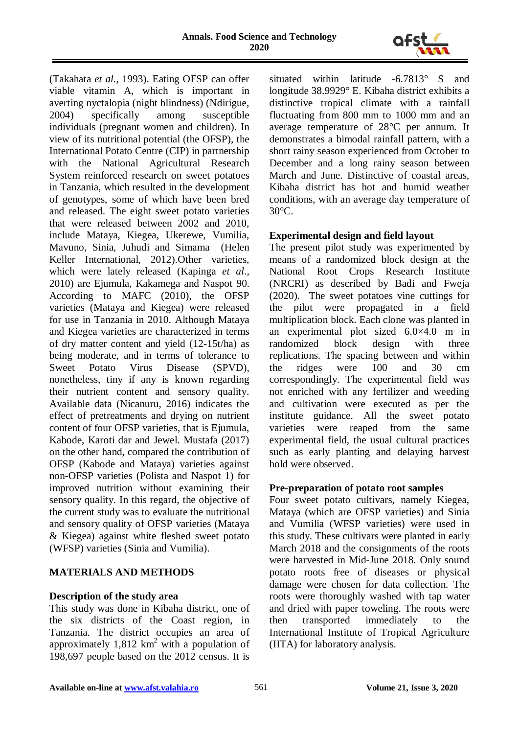

(Takahata *et al.,* 1993). Eating OFSP can offer viable vitamin A, which is important in averting nyctalopia (night blindness) (Ndirigue, 2004) specifically among susceptible individuals (pregnant women and children). In view of its nutritional potential (the OFSP), the International Potato Centre (CIP) in partnership with the National Agricultural Research System reinforced research on sweet potatoes in Tanzania, which resulted in the development of genotypes, some of which have been bred and released. The eight sweet potato varieties that were released between 2002 and 2010, include Mataya, Kiegea, Ukerewe, Vumilia, Mavuno, Sinia, Juhudi and Simama (Helen Keller International, 2012).Other varieties, which were lately released (Kapinga *et al*., 2010) are Ejumula, Kakamega and Naspot 90. According to MAFC (2010), the OFSP varieties (Mataya and Kiegea) were released for use in Tanzania in 2010. Although Mataya and Kiegea varieties are characterized in terms of dry matter content and yield (12-15t/ha) as being moderate, and in terms of tolerance to Sweet Potato Virus Disease (SPVD), nonetheless, tiny if any is known regarding their nutrient content and sensory quality. Available data (Nicanuru, 2016) indicates the effect of pretreatments and drying on nutrient content of four OFSP varieties, that is Ejumula, Kabode, Karoti dar and Jewel. Mustafa (2017) on the other hand, compared the contribution of OFSP (Kabode and Mataya) varieties against non-OFSP varieties (Polista and Naspot 1) for improved nutrition without examining their sensory quality. In this regard, the objective of the current study was to evaluate the nutritional and sensory quality of OFSP varieties (Mataya & Kiegea) against white fleshed sweet potato (WFSP) varieties (Sinia and Vumilia).

# **MATERIALS AND METHODS**

### **Description of the study area**

This study was done in Kibaha district, one of the six districts of the Coast region, in Tanzania. The district occupies an area of approximately 1,812  $km^2$  with a population of 198,697 people based on the 2012 census. It is

situated within latitude -6.7813° S and longitude 38.9929° E. Kibaha district exhibits a distinctive tropical climate with a rainfall fluctuating from 800 mm to 1000 mm and an average temperature of 28°C per annum. It demonstrates a bimodal rainfall pattern, with a short rainy season experienced from October to December and a long rainy season between March and June. Distinctive of coastal areas, Kibaha district has hot and humid weather conditions, with an average day temperature of 30°C.

### **Experimental design and field layout**

The present pilot study was experimented by means of a randomized block design at the National Root Crops Research Institute (NRCRI) as described by Badi and Fweja (2020). The sweet potatoes vine cuttings for the pilot were propagated in a field multiplication block. Each clone was planted in an experimental plot sized 6.0×4.0 m in randomized block design with three replications. The spacing between and within the ridges were 100 and 30 cm correspondingly. The experimental field was not enriched with any fertilizer and weeding and cultivation were executed as per the institute guidance. All the sweet potato varieties were reaped from the same experimental field, the usual cultural practices such as early planting and delaying harvest hold were observed.

### **Pre-preparation of potato root samples**

Four sweet potato cultivars, namely Kiegea, Mataya (which are OFSP varieties) and Sinia and Vumilia (WFSP varieties) were used in this study. These cultivars were planted in early March 2018 and the consignments of the roots were harvested in Mid-June 2018. Only sound potato roots free of diseases or physical damage were chosen for data collection. The roots were thoroughly washed with tap water and dried with paper toweling. The roots were then transported immediately to the International Institute of Tropical Agriculture (IITA) for laboratory analysis.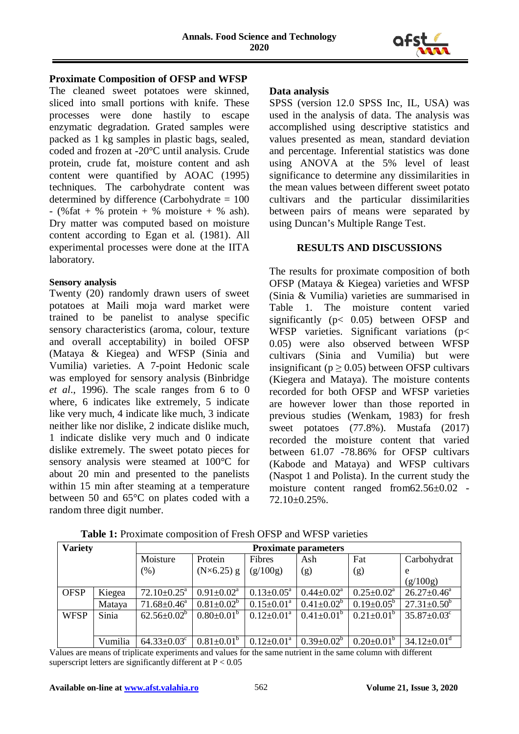

#### **Proximate Composition of OFSP and WFSP**

The cleaned sweet potatoes were skinned, sliced into small portions with knife. These processes were done hastily to escape enzymatic degradation. Grated samples were packed as 1 kg samples in plastic bags, sealed, coded and frozen at -20°C until analysis. Crude protein, crude fat, moisture content and ash content were quantified by AOAC (1995) techniques. The carbohydrate content was determined by difference (Carbohydrate = 100  $-$  (% fat + % protein + % moisture + % ash). Dry matter was computed based on moisture content according to Egan et al. (1981). All experimental processes were done at the IITA laboratory.

### **Sensory analysis**

Twenty (20) randomly drawn users of sweet potatoes at Maili moja ward market were trained to be panelist to analyse specific sensory characteristics (aroma, colour, texture and overall acceptability) in boiled OFSP (Mataya & Kiegea) and WFSP (Sinia and Vumilia) varieties. A 7-point Hedonic scale was employed for sensory analysis (Binbridge *et al*., 1996). The scale ranges from 6 to 0 where, 6 indicates like extremely, 5 indicate like very much, 4 indicate like much, 3 indicate neither like nor dislike, 2 indicate dislike much, 1 indicate dislike very much and 0 indicate dislike extremely. The sweet potato pieces for sensory analysis were steamed at 100°C for about 20 min and presented to the panelists within 15 min after steaming at a temperature between 50 and 65°C on plates coded with a random three digit number.

### **Data analysis**

SPSS (version 12.0 SPSS Inc, IL, USA) was used in the analysis of data. The analysis was accomplished using descriptive statistics and values presented as mean, standard deviation and percentage. Inferential statistics was done using ANOVA at the 5% level of least significance to determine any dissimilarities in the mean values between different sweet potato cultivars and the particular dissimilarities between pairs of means were separated by using Duncan's Multiple Range Test.

# **RESULTS AND DISCUSSIONS**

The results for proximate composition of both OFSP (Mataya & Kiegea) varieties and WFSP (Sinia & Vumilia) varieties are summarised in Table 1. The moisture content varied significantly (p< 0.05) between OFSP and WFSP varieties. Significant variations (p< 0.05) were also observed between WFSP cultivars (Sinia and Vumilia) but were insignificant ( $p > 0.05$ ) between OFSP cultivars (Kiegera and Mataya). The moisture contents recorded for both OFSP and WFSP varieties are however lower than those reported in previous studies (Wenkam, 1983) for fresh sweet potatoes (77.8%). Mustafa (2017) recorded the moisture content that varied between 61.07 -78.86% for OFSP cultivars (Kabode and Mataya) and WFSP cultivars (Naspot 1 and Polista). In the current study the moisture content ranged from62.56±0.02 - 72.10±0.25%.

| <b>Variety</b> |         | <b>Proximate parameters</b>   |                         |                              |                            |                         |                               |  |  |
|----------------|---------|-------------------------------|-------------------------|------------------------------|----------------------------|-------------------------|-------------------------------|--|--|
|                |         | Moisture                      | Protein                 | Fibres                       | Ash                        | Fat                     | Carbohydrat                   |  |  |
|                |         | (% )                          | $(N\times 6.25)$ g      | (g/100g)                     | (g)                        | (g)                     | e                             |  |  |
|                |         |                               |                         |                              |                            |                         | (g/100g)                      |  |  |
| <b>OFSP</b>    | Kiegea  | $72.10 \pm 0.25$ <sup>a</sup> | $0.91 \pm 0.02^a$       | $0.13 \pm 0.05^{\text{a}}$   | $0.44 \pm 0.02^{\text{a}}$ | $0.25 \pm 0.02^a$       | $26.27 \pm 0.46^a$            |  |  |
|                | Mataya  | $71.68 \pm 0.46^a$            | $0.81 \pm 0.02^b$       | $0.15 \pm 0.01^a$            | $0.41 \pm 0.02^b$          | $0.19 \pm 0.05^{\circ}$ | $27.31 \pm 0.50^{\circ}$      |  |  |
| <b>WFSP</b>    | Sinia   | $62.56 \pm 0.02^b$            | $0.80 \pm 0.01^{\circ}$ | $0.12 \pm 0.01^a$            | $0.41 \pm 0.01^{\rm b}$    | $0.21 \pm 0.01^{\circ}$ | $35.87 \pm 0.03$ <sup>c</sup> |  |  |
|                |         |                               |                         |                              |                            |                         |                               |  |  |
|                | Vumilia | $64.33 \pm 0.03$ <sup>c</sup> | $0.81 \pm 0.01^b$       | $0.12 \pm 0.01$ <sup>a</sup> | $0.39 \pm 0.02^b$          | $0.20 \pm 0.01^b$       | $34.12 \pm 0.01$ <sup>d</sup> |  |  |

**Table 1:** Proximate composition of Fresh OFSP and WFSP varieties

Values are means of triplicate experiments and values for the same nutrient in the same column with different superscript letters are significantly different at  $P < 0.05$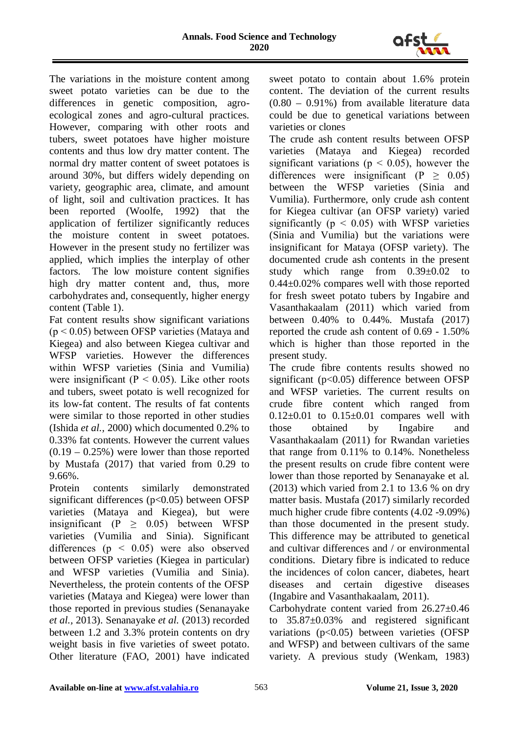

The variations in the moisture content among sweet potato varieties can be due to the differences in genetic composition, agroecological zones and agro-cultural practices. However, comparing with other roots and tubers, sweet potatoes have higher moisture contents and thus low dry matter content. The normal dry matter content of sweet potatoes is around 30%, but differs widely depending on variety, geographic area, climate, and amount of light, soil and cultivation practices. It has been reported (Woolfe, 1992) that the application of fertilizer significantly reduces the moisture content in sweet potatoes. However in the present study no fertilizer was applied, which implies the interplay of other factors. The low moisture content signifies high dry matter content and, thus, more carbohydrates and, consequently, higher energy content (Table 1).

Fat content results show significant variations  $(p < 0.05)$  between OFSP varieties (Mataya and Kiegea) and also between Kiegea cultivar and WFSP varieties. However the differences within WFSP varieties (Sinia and Vumilia) were insignificant ( $P < 0.05$ ). Like other roots and tubers, sweet potato is well recognized for its low-fat content. The results of fat contents were similar to those reported in other studies (Ishida *et al.,* 2000) which documented 0.2% to 0.33% fat contents. However the current values  $(0.19 - 0.25\%)$  were lower than those reported by Mustafa (2017) that varied from 0.29 to 9.66%.

Protein contents similarly demonstrated significant differences  $(p<0.05)$  between OFSP varieties (Mataya and Kiegea), but were insignificant (P  $\geq$  0.05) between WFSP varieties (Vumilia and Sinia). Significant differences ( $p \leq 0.05$ ) were also observed between OFSP varieties (Kiegea in particular) and WFSP varieties (Vumilia and Sinia). Nevertheless, the protein contents of the OFSP varieties (Mataya and Kiegea) were lower than those reported in previous studies (Senanayake *et al.,* 2013). Senanayake *et al.* (2013) recorded between 1.2 and 3.3% protein contents on dry weight basis in five varieties of sweet potato. Other literature (FAO, 2001) have indicated sweet potato to contain about 1.6% protein content. The deviation of the current results (0.80 – 0.91%) from available literature data could be due to genetical variations between varieties or clones

The crude ash content results between OFSP varieties (Mataya and Kiegea) recorded significant variations ( $p < 0.05$ ), however the differences were insignificant (P  $\geq$  0.05) between the WFSP varieties (Sinia and Vumilia). Furthermore, only crude ash content for Kiegea cultivar (an OFSP variety) varied significantly ( $p < 0.05$ ) with WFSP varieties (Sinia and Vumilia) but the variations were insignificant for Mataya (OFSP variety). The documented crude ash contents in the present study which range from 0.39±0.02 to 0.44±0.02% compares well with those reported for fresh sweet potato tubers by Ingabire and Vasanthakaalam (2011) which varied from between 0.40% to 0.44%. Mustafa (2017) reported the crude ash content of 0.69 - 1.50% which is higher than those reported in the present study.

The crude fibre contents results showed no significant (p<0.05) difference between OFSP and WFSP varieties. The current results on crude fibre content which ranged from  $0.12\pm0.01$  to  $0.15\pm0.01$  compares well with those obtained by Ingabire and Vasanthakaalam (2011) for Rwandan varieties that range from 0.11% to 0.14%. Nonetheless the present results on crude fibre content were lower than those reported by Senanayake et al. (2013) which varied from 2.1 to 13.6 % on dry matter basis. Mustafa (2017) similarly recorded much higher crude fibre contents (4.02 -9.09%) than those documented in the present study. This difference may be attributed to genetical and cultivar differences and / or environmental conditions. Dietary fibre is indicated to reduce the incidences of colon cancer, diabetes, heart diseases and certain digestive diseases (Ingabire and Vasanthakaalam, 2011).

Carbohydrate content varied from 26.27±0.46 to 35.87±0.03% and registered significant variations  $(p<0.05)$  between varieties (OFSP and WFSP) and between cultivars of the same variety. A previous study (Wenkam, 1983)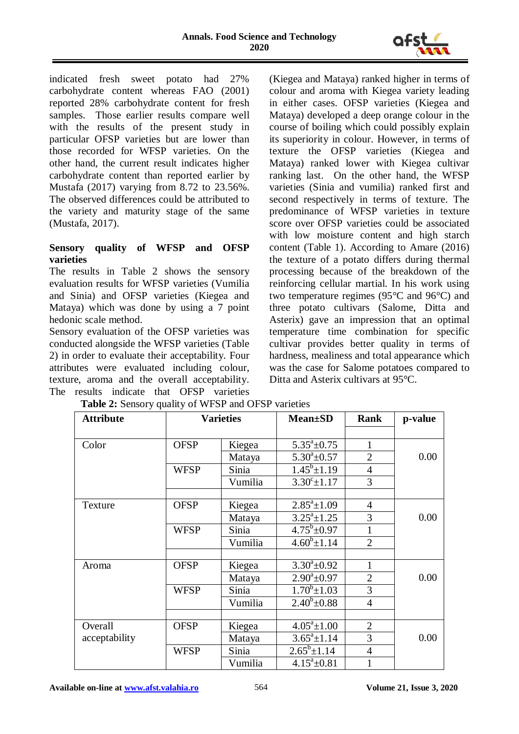

indicated fresh sweet potato had 27% carbohydrate content whereas FAO (2001) reported 28% carbohydrate content for fresh samples. Those earlier results compare well with the results of the present study in particular OFSP varieties but are lower than those recorded for WFSP varieties. On the other hand, the current result indicates higher carbohydrate content than reported earlier by Mustafa (2017) varying from 8.72 to 23.56%. The observed differences could be attributed to the variety and maturity stage of the same (Mustafa, 2017).

# **Sensory quality of WFSP and OFSP varieties**

The results in Table 2 shows the sensory evaluation results for WFSP varieties (Vumilia and Sinia) and OFSP varieties (Kiegea and Mataya) which was done by using a 7 point hedonic scale method.

Sensory evaluation of the OFSP varieties was conducted alongside the WFSP varieties (Table 2) in order to evaluate their acceptability. Four attributes were evaluated including colour, texture, aroma and the overall acceptability. The results indicate that OFSP varieties

(Kiegea and Mataya) ranked higher in terms of colour and aroma with Kiegea variety leading in either cases. OFSP varieties (Kiegea and Mataya) developed a deep orange colour in the course of boiling which could possibly explain its superiority in colour. However, in terms of texture the OFSP varieties (Kiegea and Mataya) ranked lower with Kiegea cultivar ranking last. On the other hand, the WFSP varieties (Sinia and vumilia) ranked first and second respectively in terms of texture. The predominance of WFSP varieties in texture score over OFSP varieties could be associated with low moisture content and high starch content (Table 1). According to Amare (2016) the texture of a potato differs during thermal processing because of the breakdown of the reinforcing cellular martial. In his work using two temperature regimes (95°C and 96°C) and three potato cultivars (Salome, Ditta and Asterix) gave an impression that an optimal temperature time combination for specific cultivar provides better quality in terms of hardness, mealiness and total appearance which was the case for Salome potatoes compared to Ditta and Asterix cultivars at 95°C.

| <b>Attribute</b> | <b>Varieties</b> |         | <b>Mean</b> ±SD         | Rank           | p-value |
|------------------|------------------|---------|-------------------------|----------------|---------|
|                  |                  |         |                         |                |         |
| Color            | <b>OFSP</b>      | Kiegea  | $5.35^{\circ}$ ±0.75    | 1              |         |
|                  |                  | Mataya  | $5.30^{\circ}$ ±0.57    | $\overline{2}$ | 0.00    |
|                  | <b>WFSP</b>      | Sinia   | $1.45^b \pm 1.19$       | $\overline{4}$ |         |
|                  |                  | Vumilia | $3.30^{\circ} \pm 1.17$ | 3              |         |
|                  |                  |         |                         |                |         |
| Texture          | <b>OFSP</b>      | Kiegea  | $2.85^a \pm 1.09$       | $\overline{4}$ |         |
|                  |                  | Mataya  | $3.25^a \pm 1.25$       | 3              | 0.00    |
|                  | <b>WFSP</b>      | Sinia   | $4.75^b \pm 0.97$       |                |         |
|                  |                  | Vumilia | $4.60^b \pm 1.14$       | $\overline{2}$ |         |
|                  |                  |         |                         |                |         |
| Aroma            | <b>OFSP</b>      | Kiegea  | $3.30^{\circ}$ ±0.92    | 1              |         |
|                  |                  | Mataya  | $2.90^a \pm 0.97$       | $\overline{2}$ | 0.00    |
|                  | <b>WFSP</b>      | Sinia   | $1.70^b \pm 1.03$       | 3              |         |
|                  |                  | Vumilia | $2.40^b \pm 0.88$       | $\overline{4}$ |         |
|                  |                  |         |                         |                |         |
| Overall          | <b>OFSP</b>      | Kiegea  | $4.05^a \pm 1.00$       | $\overline{2}$ |         |
| acceptability    |                  | Mataya  | $3.65^a \pm 1.14$       | 3              | 0.00    |
|                  | <b>WFSP</b>      | Sinia   | $2.65^b \pm 1.14$       | $\overline{4}$ |         |
|                  |                  | Vumilia | $4.15^a \pm 0.81$       | 1              |         |

**Table 2:** Sensory quality of WFSP and OFSP varieties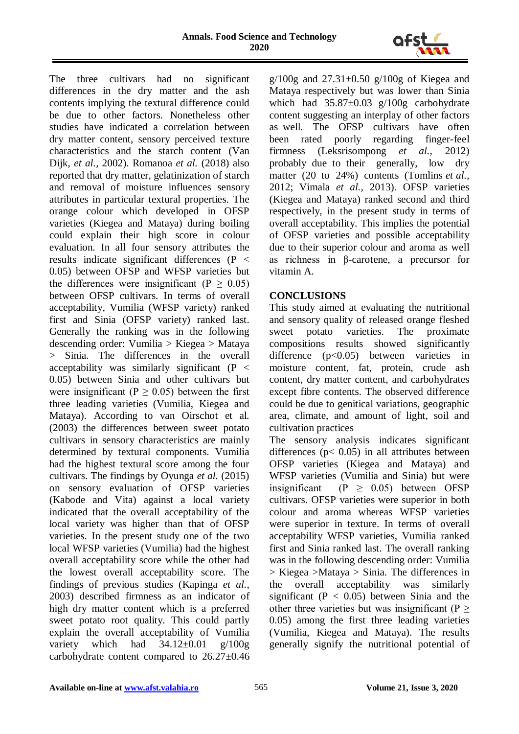

The three cultivars had no significant differences in the dry matter and the ash contents implying the textural difference could be due to other factors. Nonetheless other studies have indicated a correlation between dry matter content, sensory perceived texture characteristics and the starch content (Van Dijk, *et al.,* 2002). Romanoa *et al.* (2018) also reported that dry matter, gelatinization of starch and removal of moisture influences sensory attributes in particular textural properties. The orange colour which developed in OFSP varieties (Kiegea and Mataya) during boiling could explain their high score in colour evaluation. In all four sensory attributes the results indicate significant differences (P < 0.05) between OFSP and WFSP varieties but the differences were insignificant  $(P > 0.05)$ between OFSP cultivars. In terms of overall acceptability, Vumilia (WFSP variety) ranked first and Sinia (OFSP variety) ranked last. Generally the ranking was in the following descending order: Vumilia > Kiegea > Mataya > Sinia. The differences in the overall acceptability was similarly significant  $(P <$ 0.05) between Sinia and other cultivars but were insignificant ( $P \ge 0.05$ ) between the first three leading varieties (Vumilia, Kiegea and Mataya). According to van Oirschot et al. (2003) the differences between sweet potato cultivars in sensory characteristics are mainly determined by textural components. Vumilia had the highest textural score among the four cultivars. The findings by Oyunga *et al.* (2015) on sensory evaluation of OFSP varieties (Kabode and Vita) against a local variety indicated that the overall acceptability of the local variety was higher than that of OFSP varieties. In the present study one of the two local WFSP varieties (Vumilia) had the highest overall acceptability score while the other had the lowest overall acceptability score. The findings of previous studies (Kapinga *et al.*, 2003) described firmness as an indicator of high dry matter content which is a preferred sweet potato root quality. This could partly explain the overall acceptability of Vumilia variety which had  $34.12\pm0.01$  g/100g carbohydrate content compared to 26.27±0.46

 $g/100g$  and  $27.31\pm0.50$   $g/100g$  of Kiegea and Mataya respectively but was lower than Sinia which had  $35.87 \pm 0.03$  g/100g carbohydrate content suggesting an interplay of other factors as well. The OFSP cultivars have often been rated poorly regarding finger-feel firmness (Leksrisompong *et al.,* 2012) probably due to their generally, low dry matter (20 to 24%) contents (Tomlins *et al.,* 2012; Vimala *et al.,* 2013). OFSP varieties (Kiegea and Mataya) ranked second and third respectively, in the present study in terms of overall acceptability. This implies the potential of OFSP varieties and possible acceptability due to their superior colour and aroma as well as richness in β-carotene, a precursor for vitamin A.

# **CONCLUSIONS**

This study aimed at evaluating the nutritional and sensory quality of released orange fleshed sweet potato varieties. The proximate compositions results showed significantly difference (p<0.05) between varieties in moisture content, fat, protein, crude ash content, dry matter content, and carbohydrates except fibre contents. The observed difference could be due to genitical variations, geographic area, climate, and amount of light, soil and cultivation practices

The sensory analysis indicates significant differences ( $p$ < 0.05) in all attributes between OFSP varieties (Kiegea and Mataya) and WFSP varieties (Vumilia and Sinia) but were insignificant (P  $\geq$  0.05) between OFSP cultivars. OFSP varieties were superior in both colour and aroma whereas WFSP varieties were superior in texture. In terms of overall acceptability WFSP varieties, Vumilia ranked first and Sinia ranked last. The overall ranking was in the following descending order: Vumilia > Kiegea >Mataya > Sinia. The differences in the overall acceptability was similarly significant ( $P < 0.05$ ) between Sinia and the other three varieties but was insignificant ( $P >$ 0.05) among the first three leading varieties (Vumilia, Kiegea and Mataya). The results generally signify the nutritional potential of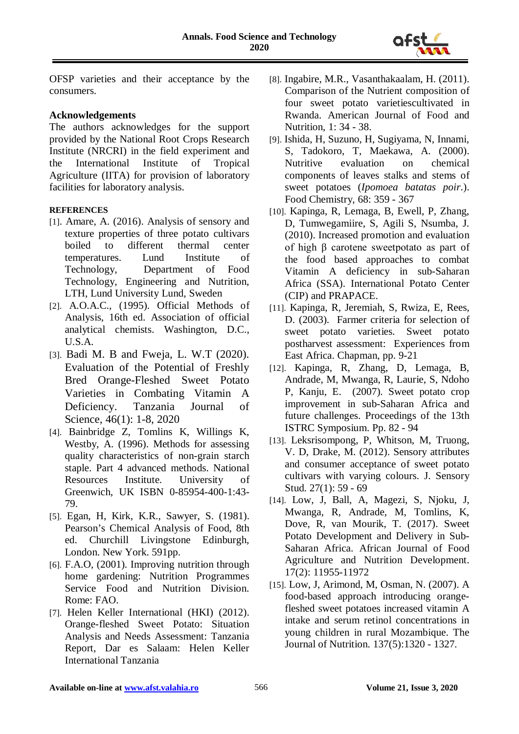

OFSP varieties and their acceptance by the consumers.

# **Acknowledgements**

The authors acknowledges for the support provided by the National Root Crops Research Institute (NRCRI) in the field experiment and the International Institute of Tropical Agriculture (IITA) for provision of laboratory facilities for laboratory analysis.

### **REFERENCES**

- [1]. Amare, A. (2016). Analysis of sensory and texture properties of three potato cultivars<br>boiled to different thermal center boiled to different thermal center temperatures. Lund Institute of Technology, Department of Food Technology, Engineering and Nutrition, LTH, Lund University Lund, Sweden
- [2]. A.O.A.C., (1995). Official Methods of Analysis, 16th ed. Association of official analytical chemists. Washington, D.C., U.S.A.
- [3]. Badi M. B and Fweja, L. W.T (2020). Evaluation of the Potential of Freshly Bred Orange-Fleshed Sweet Potato Varieties in Combating Vitamin A Deficiency. Tanzania Journal of Science*,* 46(1): 1-8, 2020
- [4]. Bainbridge Z, Tomlins K, Willings K, Westby, A. (1996). Methods for assessing quality characteristics of non-grain starch staple. Part 4 advanced methods. National Resources Institute. University of Greenwich, UK ISBN 0-85954-400-1:43- 79.
- [5]. Egan, H, Kirk, K.R., Sawyer, S. (1981). Pearson's Chemical Analysis of Food, 8th ed. Churchill Livingstone Edinburgh, London. New York. 591pp.
- [6]. F.A.O, (2001). Improving nutrition through home gardening: Nutrition Programmes Service Food and Nutrition Division. Rome: FAO.
- [7]. Helen Keller International (HKI) (2012). Orange-fleshed Sweet Potato: Situation Analysis and Needs Assessment: Tanzania Report, Dar es Salaam: Helen Keller International Tanzania
- [8]. Ingabire, M.R., Vasanthakaalam, H. (2011). Comparison of the Nutrient composition of four sweet potato varietiescultivated in Rwanda. American Journal of Food and Nutrition, 1: 34 - 38.
- [9]. Ishida, H, Suzuno, H, Sugiyama, N, Innami, S, Tadokoro, T, Maekawa, A. (2000). Nutritive evaluation on chemical components of leaves stalks and stems of sweet potatoes (*Ipomoea batatas poir*.). Food Chemistry*,* 68: 359 - 367
- [10]. Kapinga, R, Lemaga, B, Ewell, P, Zhang, D, Tumwegamiire, S, Agili S, Nsumba, J. (2010). Increased promotion and evaluation of high β carotene sweetpotato as part of the food based approaches to combat Vitamin A deficiency in sub-Saharan Africa (SSA). International Potato Center (CIP) and PRAPACE.
- [11]. Kapinga, R, Jeremiah, S, Rwiza, E, Rees, D. (2003). Farmer criteria for selection of sweet potato varieties. Sweet potato postharvest assessment: Experiences from East Africa. Chapman, pp. 9-21
- [12]. Kapinga, R, Zhang, D, Lemaga, B, Andrade, M, Mwanga, R, Laurie, S, Ndoho P, Kanju, E. (2007). Sweet potato crop improvement in sub-Saharan Africa and future challenges. Proceedings of the 13th ISTRC Symposium. Pp. 82 - 94
- [13]. Leksrisompong, P, Whitson, M, Truong, V. D, Drake, M. (2012). Sensory attributes and consumer acceptance of sweet potato cultivars with varying colours. J. Sensory Stud. 27(1): 59 - 69
- [14]. Low, J, Ball, A, Magezi, S, Njoku, J, Mwanga, R, Andrade, M, Tomlins, K, Dove, R, van Mourik, T. (2017). Sweet Potato Development and Delivery in Sub-Saharan Africa. African Journal of Food Agriculture and Nutrition Development. 17(2): 11955-11972
- [15]. Low, J, Arimond, M, Osman, N. (2007). A food-based approach introducing orangefleshed sweet potatoes increased vitamin A intake and serum retinol concentrations in young children in rural Mozambique. The Journal of Nutrition. 137(5):1320 - 1327.